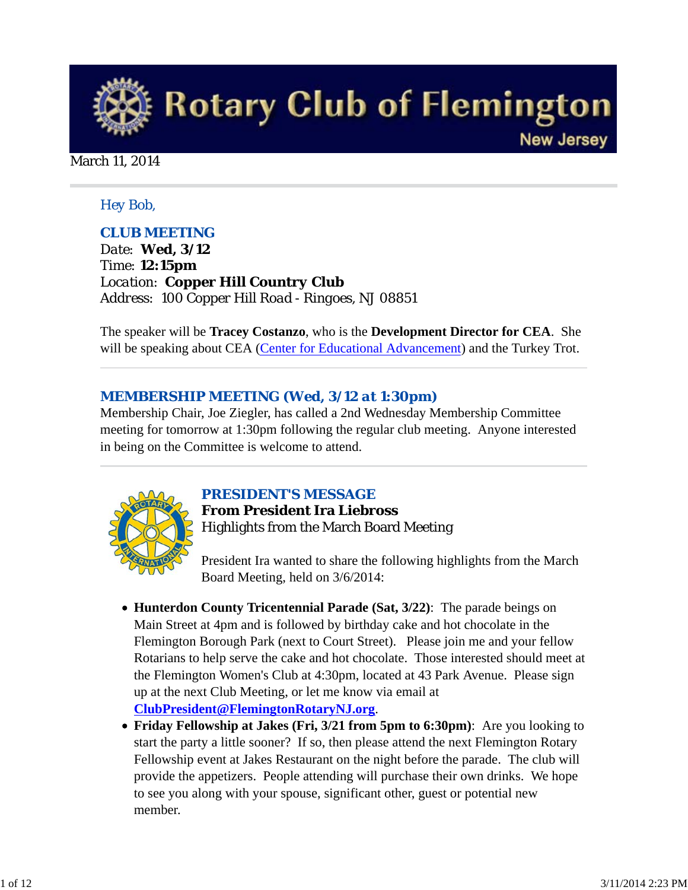

#### March 11, 2014

#### *Hey Bob,*

### *CLUB MEETING*

*Date: Wed, 3/12 Time: 12:15pm Location: Copper Hill Country Club Address: 100 Copper Hill Road - Ringoes, NJ 08851*

The speaker will be **Tracey Costanzo**, who is the **Development Director for CEA**. She will be speaking about CEA (Center for Educational Advancement) and the Turkey Trot.

### *MEMBERSHIP MEETING (Wed, 3/12 at 1:30pm)*

Membership Chair, Joe Ziegler, has called a 2nd Wednesday Membership Committee meeting for tomorrow at 1:30pm following the regular club meeting. Anyone interested in being on the Committee is welcome to attend.



### *PRESIDENT'S MESSAGE*

**From President Ira Liebross** Highlights from the March Board Meeting

President Ira wanted to share the following highlights from the March Board Meeting, held on 3/6/2014:

- **Hunterdon County Tricentennial Parade (Sat, 3/22)**: The parade beings on Main Street at 4pm and is followed by birthday cake and hot chocolate in the Flemington Borough Park (next to Court Street). Please join me and your fellow Rotarians to help serve the cake and hot chocolate. Those interested should meet at the Flemington Women's Club at 4:30pm, located at 43 Park Avenue. Please sign up at the next Club Meeting, or let me know via email at **ClubPresident@FlemingtonRotaryNJ.org**.
- **Friday Fellowship at Jakes (Fri, 3/21 from 5pm to 6:30pm)**: Are you looking to start the party a little sooner? If so, then please attend the next Flemington Rotary Fellowship event at Jakes Restaurant on the night before the parade. The club will provide the appetizers. People attending will purchase their own drinks. We hope to see you along with your spouse, significant other, guest or potential new member.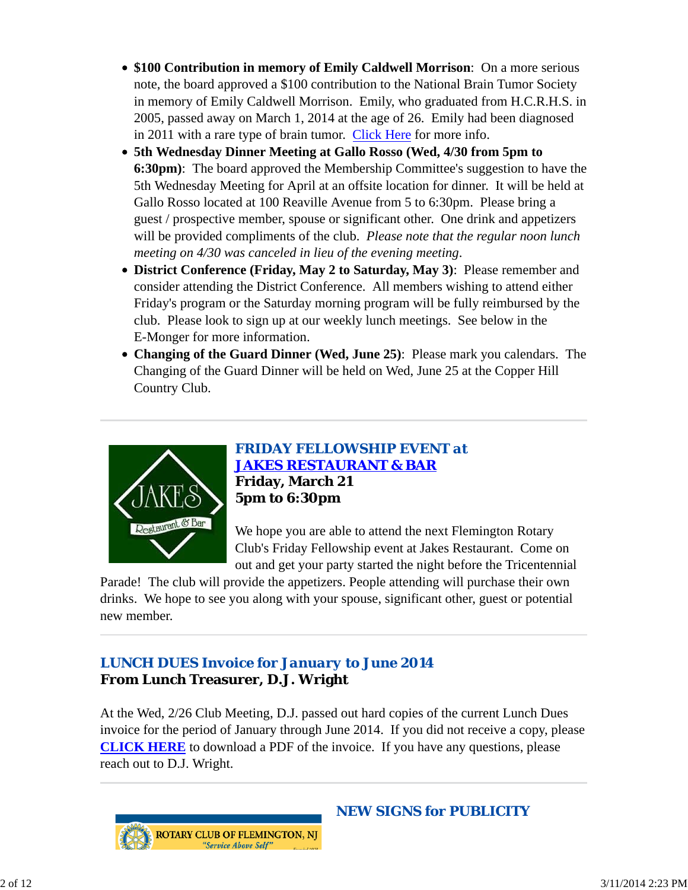- **\$100 Contribution in memory of Emily Caldwell Morrison**: On a more serious note, the board approved a \$100 contribution to the National Brain Tumor Society in memory of Emily Caldwell Morrison. Emily, who graduated from H.C.R.H.S. in 2005, passed away on March 1, 2014 at the age of 26. Emily had been diagnosed in 2011 with a rare type of brain tumor. Click Here for more info.
- **5th Wednesday Dinner Meeting at Gallo Rosso (Wed, 4/30 from 5pm to 6:30pm)**: The board approved the Membership Committee's suggestion to have the 5th Wednesday Meeting for April at an offsite location for dinner. It will be held at Gallo Rosso located at 100 Reaville Avenue from 5 to 6:30pm. Please bring a guest / prospective member, spouse or significant other. One drink and appetizers will be provided compliments of the club. *Please note that the regular noon lunch meeting on 4/30 was canceled in lieu of the evening meeting*.
- **District Conference (Friday, May 2 to Saturday, May 3)**: Please remember and consider attending the District Conference. All members wishing to attend either Friday's program or the Saturday morning program will be fully reimbursed by the club. Please look to sign up at our weekly lunch meetings. See below in the E-Monger for more information.
- **Changing of the Guard Dinner (Wed, June 25)**: Please mark you calendars. The Changing of the Guard Dinner will be held on Wed, June 25 at the Copper Hill Country Club.



*FRIDAY FELLOWSHIP EVENT at JAKES RESTAURANT & BAR* **Friday, March 21 5pm to 6:30pm**

We hope you are able to attend the next Flemington Rotary Club's Friday Fellowship event at Jakes Restaurant. Come on out and get your party started the night before the Tricentennial

Parade! The club will provide the appetizers. People attending will purchase their own drinks. We hope to see you along with your spouse, significant other, guest or potential new member.

# *LUNCH DUES Invoice for January to June 2014* **From Lunch Treasurer, D.J. Wright**

At the Wed, 2/26 Club Meeting, D.J. passed out hard copies of the current Lunch Dues invoice for the period of January through June 2014. If you did not receive a copy, please **CLICK HERE** to download a PDF of the invoice. If you have any questions, please reach out to D.J. Wright.



*NEW SIGNS for PUBLICITY*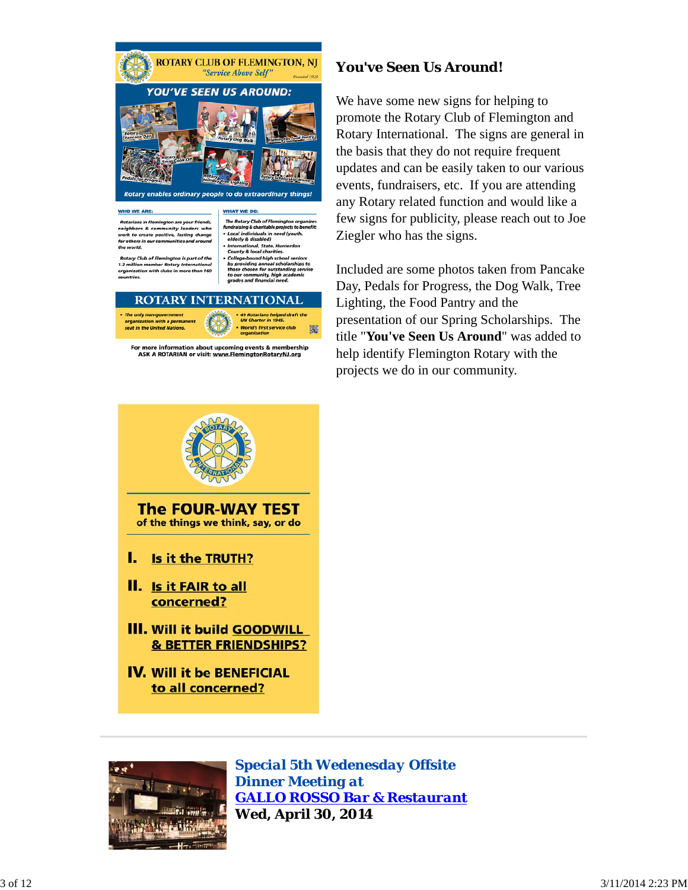



For more information about upcoming events & membership ASK A ROTARIAN or visit: www.FlemingtonRotaryNJ.org

## **You've Seen Us Around!**

We have some new signs for helping to promote the Rotary Club of Flemington and Rotary International. The signs are general in the basis that they do not require frequent updates and can be easily taken to our various events, fundraisers, etc. If you are attending any Rotary related function and would like a few signs for publicity, please reach out to Joe Ziegler who has the signs.

Included are some photos taken from Pancake Day, Pedals for Progress, the Dog Walk, Tree Lighting, the Food Pantry and the presentation of our Spring Scholarships. The title "**You've Seen Us Around**" was added to help identify Flemington Rotary with the projects we do in our community.



- **III. Will it build GOODWILL & BETTER FRIENDSHIPS?**
- **IV. Will it be BENEFICIAL** to all concerned?



*Special 5th Wedenesday Offsite Dinner Meeting at GALLO ROSSO Bar & Restaurant* **Wed, April 30, 2014**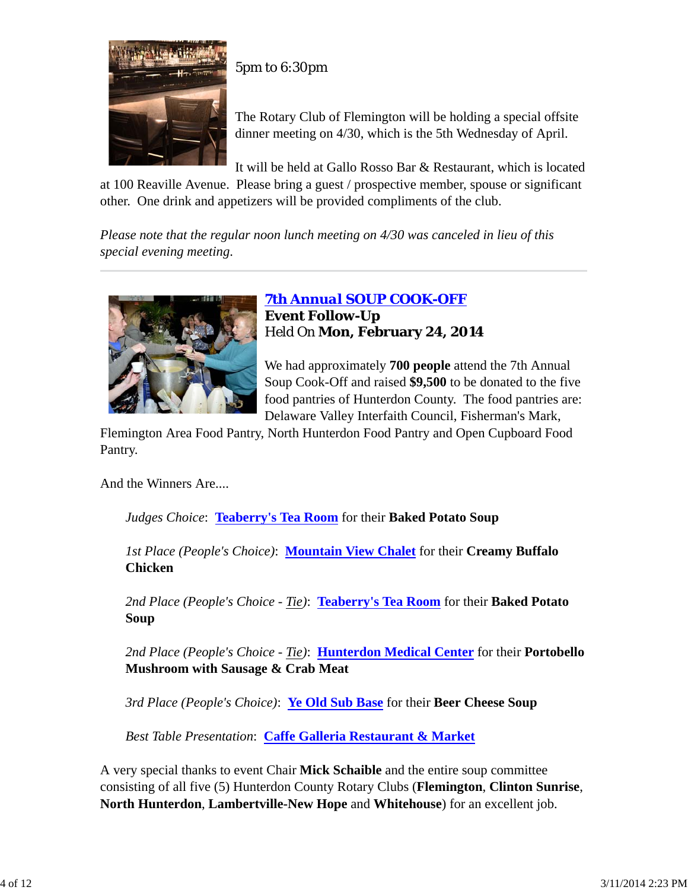

5pm to 6:30pm

The Rotary Club of Flemington will be holding a special offsite dinner meeting on 4/30, which is the 5th Wednesday of April.

It will be held at Gallo Rosso Bar & Restaurant, which is located

at 100 Reaville Avenue. Please bring a guest / prospective member, spouse or significant other. One drink and appetizers will be provided compliments of the club.

*Please note that the regular noon lunch meeting on 4/30 was canceled in lieu of this special evening meeting*.



*7th Annual SOUP COOK-OFF* **Event Follow-Up** Held On **Mon, February 24, 2014**

We had approximately **700 people** attend the 7th Annual Soup Cook-Off and raised **\$9,500** to be donated to the five food pantries of Hunterdon County. The food pantries are: Delaware Valley Interfaith Council, Fisherman's Mark,

Flemington Area Food Pantry, North Hunterdon Food Pantry and Open Cupboard Food Pantry.

And the Winners Are....

*Judges Choice*: **Teaberry's Tea Room** for their **Baked Potato Soup**

*1st Place (People's Choice)*: **Mountain View Chalet** for their **Creamy Buffalo Chicken**

*2nd Place (People's Choice - Tie)*: **Teaberry's Tea Room** for their **Baked Potato Soup**

*2nd Place (People's Choice - Tie)*: **Hunterdon Medical Center** for their **Portobello Mushroom with Sausage & Crab Meat**

*3rd Place (People's Choice)*: **Ye Old Sub Base** for their **Beer Cheese Soup**

*Best Table Presentation*: **Caffe Galleria Restaurant & Market**

A very special thanks to event Chair **Mick Schaible** and the entire soup committee consisting of all five (5) Hunterdon County Rotary Clubs (**Flemington**, **Clinton Sunrise**, **North Hunterdon**, **Lambertville-New Hope** and **Whitehouse**) for an excellent job.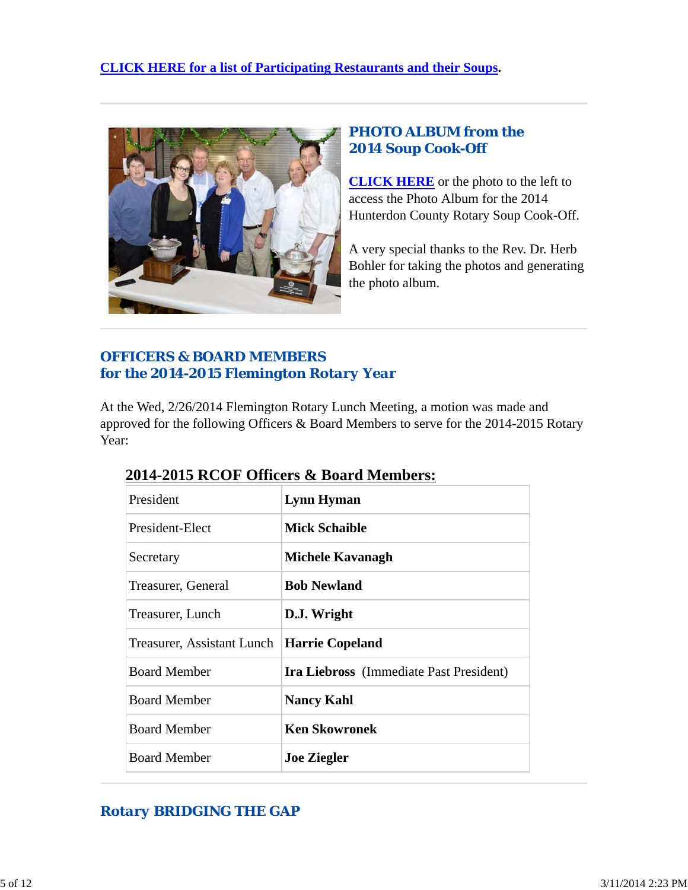

# *PHOTO ALBUM from the 2014 Soup Cook-Off*

**CLICK HERE** or the photo to the left to access the Photo Album for the 2014 Hunterdon County Rotary Soup Cook-Off.

A very special thanks to the Rev. Dr. Herb Bohler for taking the photos and generating the photo album.

# *OFFICERS & BOARD MEMBERS for the 2014-2015 Flemington Rotary Year*

At the Wed, 2/26/2014 Flemington Rotary Lunch Meeting, a motion was made and approved for the following Officers & Board Members to serve for the 2014-2015 Rotary Year:

| President                  | Lynn Hyman                                     |
|----------------------------|------------------------------------------------|
| President-Elect            | <b>Mick Schaible</b>                           |
| Secretary                  | Michele Kavanagh                               |
| Treasurer, General         | <b>Bob Newland</b>                             |
| Treasurer, Lunch           | D.J. Wright                                    |
| Treasurer, Assistant Lunch | Harrie Copeland                                |
| <b>Board Member</b>        | <b>Ira Liebross</b> (Immediate Past President) |
| <b>Board Member</b>        | <b>Nancy Kahl</b>                              |
| <b>Board Member</b>        | <b>Ken Skowronek</b>                           |
| <b>Board Member</b>        | <b>Joe Ziegler</b>                             |

# **2014-2015 RCOF Officers & Board Members:**

# *Rotary BRIDGING THE GAP*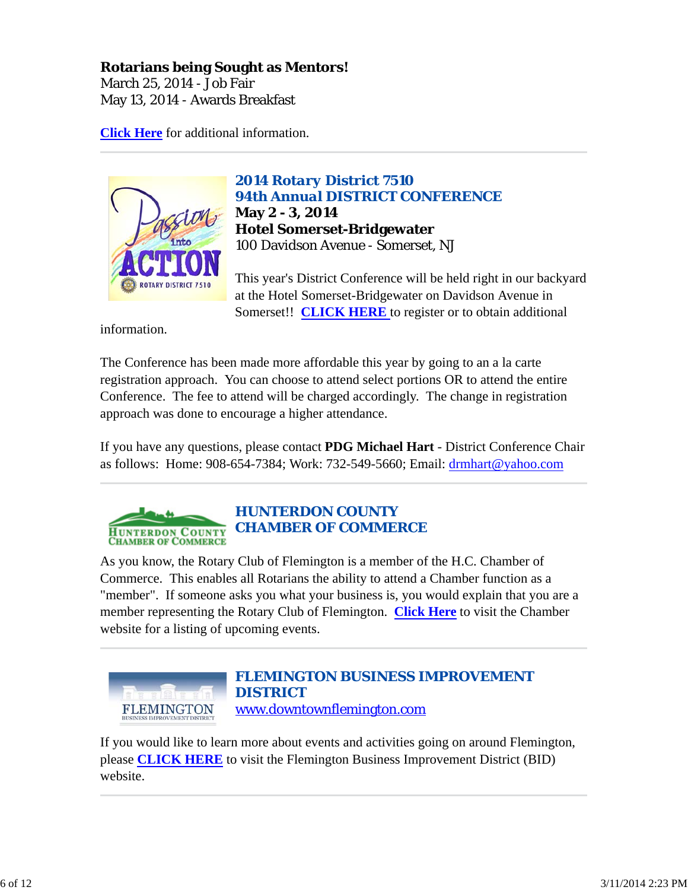## **Rotarians being Sought as Mentors!**

March 25, 2014 - Job Fair May 13, 2014 - Awards Breakfast

**Click Here** for additional information.



*2014 Rotary District 7510 94th Annual DISTRICT CONFERENCE* **May 2 - 3, 2014 Hotel Somerset-Bridgewater** 100 Davidson Avenue - Somerset, NJ

This year's District Conference will be held right in our backyard at the Hotel Somerset-Bridgewater on Davidson Avenue in Somerset!! **CLICK HERE** to register or to obtain additional

information.

The Conference has been made more affordable this year by going to an a la carte registration approach. You can choose to attend select portions OR to attend the entire Conference. The fee to attend will be charged accordingly. The change in registration approach was done to encourage a higher attendance.

If you have any questions, please contact **PDG Michael Hart** - District Conference Chair as follows: Home: 908-654-7384; Work: 732-549-5660; Email: drmhart@yahoo.com

#### *HUNTERDON COUNTY* **HUNTERDON COUNTY CHAMBER OF COMMERCE CHAMBER OF COMMERCE**

As you know, the Rotary Club of Flemington is a member of the H.C. Chamber of Commerce. This enables all Rotarians the ability to attend a Chamber function as a "member". If someone asks you what your business is, you would explain that you are a member representing the Rotary Club of Flemington. **Click Here** to visit the Chamber website for a listing of upcoming events.



If you would like to learn more about events and activities going on around Flemington, please **CLICK HERE** to visit the Flemington Business Improvement District (BID) website.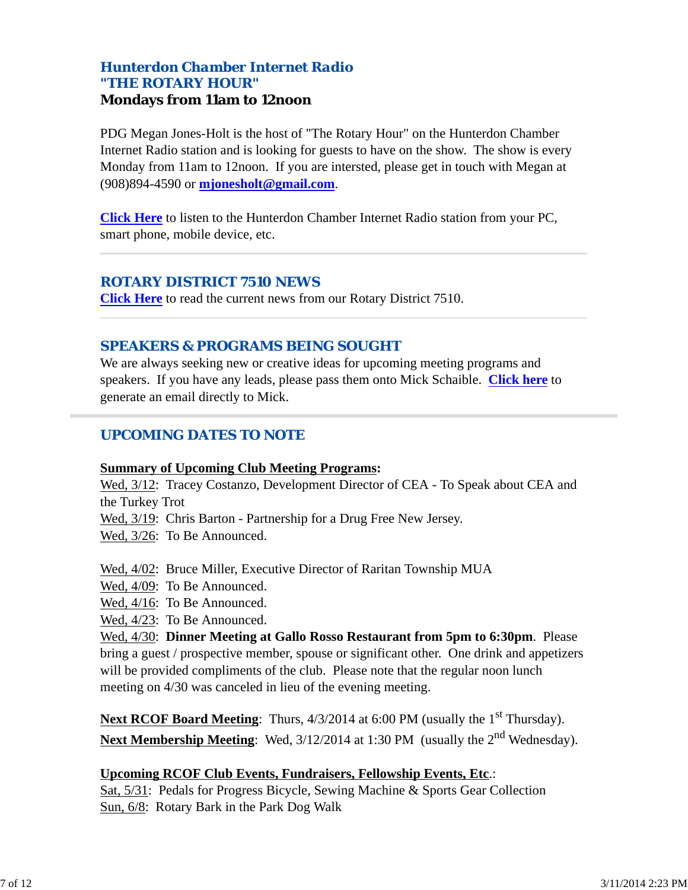## *Hunterdon Chamber Internet Radio "THE ROTARY HOUR"* **Mondays from 11am to 12noon**

PDG Megan Jones-Holt is the host of "The Rotary Hour" on the Hunterdon Chamber Internet Radio station and is looking for guests to have on the show. The show is every Monday from 11am to 12noon. If you are intersted, please get in touch with Megan at (908)894-4590 or **mjonesholt@gmail.com**.

**Click Here** to listen to the Hunterdon Chamber Internet Radio station from your PC, smart phone, mobile device, etc.

### *ROTARY DISTRICT 7510 NEWS*

**Click Here** to read the current news from our Rotary District 7510.

## *SPEAKERS & PROGRAMS BEING SOUGHT*

We are always seeking new or creative ideas for upcoming meeting programs and speakers. If you have any leads, please pass them onto Mick Schaible. **Click here** to generate an email directly to Mick.

## *UPCOMING DATES TO NOTE*

#### **Summary of Upcoming Club Meeting Programs:**

Wed, 3/12: Tracey Costanzo, Development Director of CEA - To Speak about CEA and the Turkey Trot

Wed, 3/19: Chris Barton - Partnership for a Drug Free New Jersey.

Wed, 3/26: To Be Announced.

Wed, 4/02: Bruce Miller, Executive Director of Raritan Township MUA

Wed, 4/09: To Be Announced.

Wed, 4/16: To Be Announced.

Wed, 4/23: To Be Announced.

Wed, 4/30: **Dinner Meeting at Gallo Rosso Restaurant from 5pm to 6:30pm**. Please bring a guest / prospective member, spouse or significant other. One drink and appetizers will be provided compliments of the club. Please note that the regular noon lunch meeting on 4/30 was canceled in lieu of the evening meeting.

**Next RCOF Board Meeting**: Thurs,  $4/3/2014$  at 6:00 PM (usually the 1<sup>st</sup> Thursday). Next Membership Meeting: Wed, 3/12/2014 at 1:30 PM (usually the 2<sup>nd</sup> Wednesday).

### **Upcoming RCOF Club Events, Fundraisers, Fellowship Events, Etc**.:

Sat, 5/31: Pedals for Progress Bicycle, Sewing Machine & Sports Gear Collection Sun, 6/8: Rotary Bark in the Park Dog Walk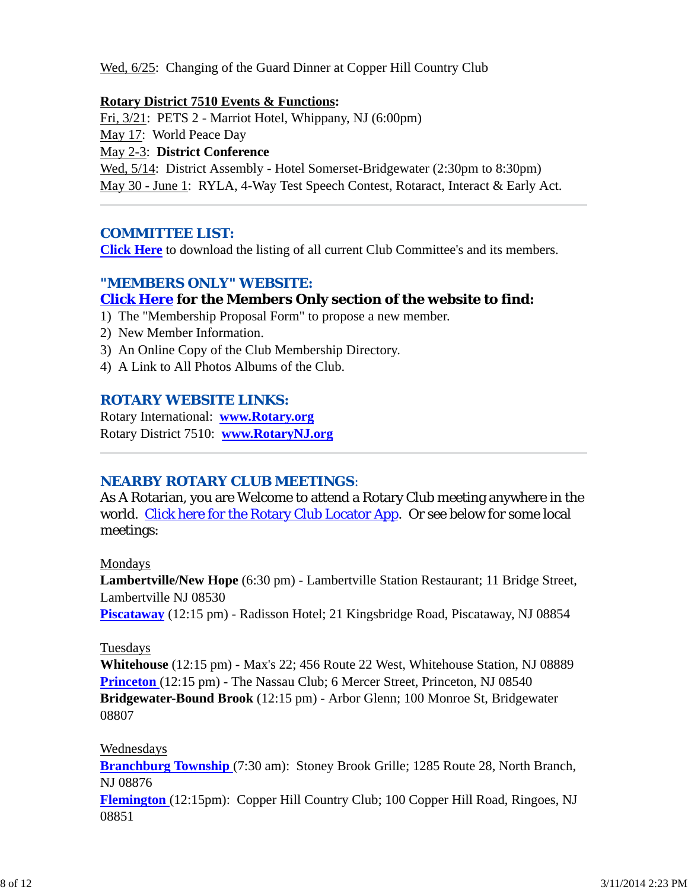Wed, 6/25: Changing of the Guard Dinner at Copper Hill Country Club

#### **Rotary District 7510 Events & Functions:**

Fri, 3/21: PETS 2 - Marriot Hotel, Whippany, NJ (6:00pm)

May 17: World Peace Day

May 2-3: **District Conference**

Wed,  $5/14$ : District Assembly - Hotel Somerset-Bridgewater (2:30pm to 8:30pm) May 30 - June 1: RYLA, 4-Way Test Speech Contest, Rotaract, Interact & Early Act.

## *COMMITTEE LIST:*

**Click Here** to download the listing of all current Club Committee's and its members.

## *"MEMBERS ONLY" WEBSITE:*

## **Click Here for the Members Only section of the website to find:**

- 1) The "Membership Proposal Form" to propose a new member.
- 2) New Member Information.
- 3) An Online Copy of the Club Membership Directory.
- 4) A Link to All Photos Albums of the Club.

## *ROTARY WEBSITE LINKS:*

Rotary International: **www.Rotary.org** Rotary District 7510: **www.RotaryNJ.org**

## *NEARBY ROTARY CLUB MEETINGS:*

As A Rotarian, you are Welcome to attend a Rotary Club meeting anywhere in the world. Click here for the Rotary Club Locator App. Or see below for some local meetings:

Mondays

**Lambertville/New Hope** (6:30 pm) - Lambertville Station Restaurant; 11 Bridge Street, Lambertville NJ 08530

**Piscataway** (12:15 pm) - Radisson Hotel; 21 Kingsbridge Road, Piscataway, NJ 08854

### Tuesdays

**Whitehouse** (12:15 pm) - Max's 22; 456 Route 22 West, Whitehouse Station, NJ 08889 **Princeton** (12:15 pm) - The Nassau Club; 6 Mercer Street, Princeton, NJ 08540 **Bridgewater-Bound Brook** (12:15 pm) - Arbor Glenn; 100 Monroe St, Bridgewater 08807

### Wednesdays

**Branchburg Township** (7:30 am): Stoney Brook Grille; 1285 Route 28, North Branch, NJ 08876

**Flemington** (12:15pm): Copper Hill Country Club; 100 Copper Hill Road, Ringoes, NJ 08851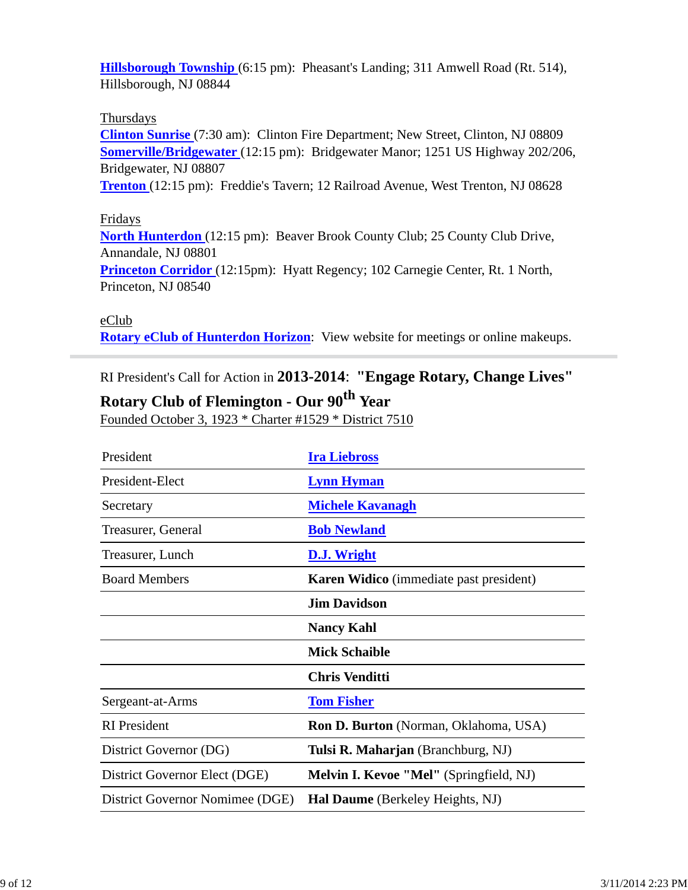**Hillsborough Township** (6:15 pm): Pheasant's Landing; 311 Amwell Road (Rt. 514), Hillsborough, NJ 08844

#### Thursdays

**Clinton Sunrise** (7:30 am): Clinton Fire Department; New Street, Clinton, NJ 08809 **Somerville/Bridgewater** (12:15 pm): Bridgewater Manor; 1251 US Highway 202/206, Bridgewater, NJ 08807

**Trenton** (12:15 pm): Freddie's Tavern; 12 Railroad Avenue, West Trenton, NJ 08628

#### Fridays

**North Hunterdon** (12:15 pm): Beaver Brook County Club; 25 County Club Drive, Annandale, NJ 08801 **Princeton Corridor** (12:15pm): Hyatt Regency; 102 Carnegie Center, Rt. 1 North, Princeton, NJ 08540

#### eClub

**Rotary eClub of Hunterdon Horizon**: View website for meetings or online makeups.

RI President's Call for Action in **2013-2014**: **"Engage Rotary, Change Lives"**

# **Rotary Club of Flemington - Our 90th Year**

Founded October 3, 1923 \* Charter #1529 \* District 7510

| President                       | <b>Ira Liebross</b>                            |  |
|---------------------------------|------------------------------------------------|--|
| President-Elect                 | <b>Lynn Hyman</b>                              |  |
| Secretary                       | <b>Michele Kavanagh</b>                        |  |
| Treasurer, General              | <b>Bob Newland</b>                             |  |
| Treasurer, Lunch                | <b>D.J. Wright</b>                             |  |
| <b>Board Members</b>            | <b>Karen Widico</b> (immediate past president) |  |
|                                 | <b>Jim Davidson</b>                            |  |
|                                 | <b>Nancy Kahl</b>                              |  |
|                                 | <b>Mick Schaible</b>                           |  |
|                                 | <b>Chris Venditti</b>                          |  |
| Sergeant-at-Arms                | <b>Tom Fisher</b>                              |  |
| <b>RI</b> President             | <b>Ron D. Burton</b> (Norman, Oklahoma, USA)   |  |
| District Governor (DG)          | Tulsi R. Maharjan (Branchburg, NJ)             |  |
| District Governor Elect (DGE)   | Melvin I. Kevoe "Mel" (Springfield, NJ)        |  |
| District Governor Nomimee (DGE) | Hal Daume (Berkeley Heights, NJ)               |  |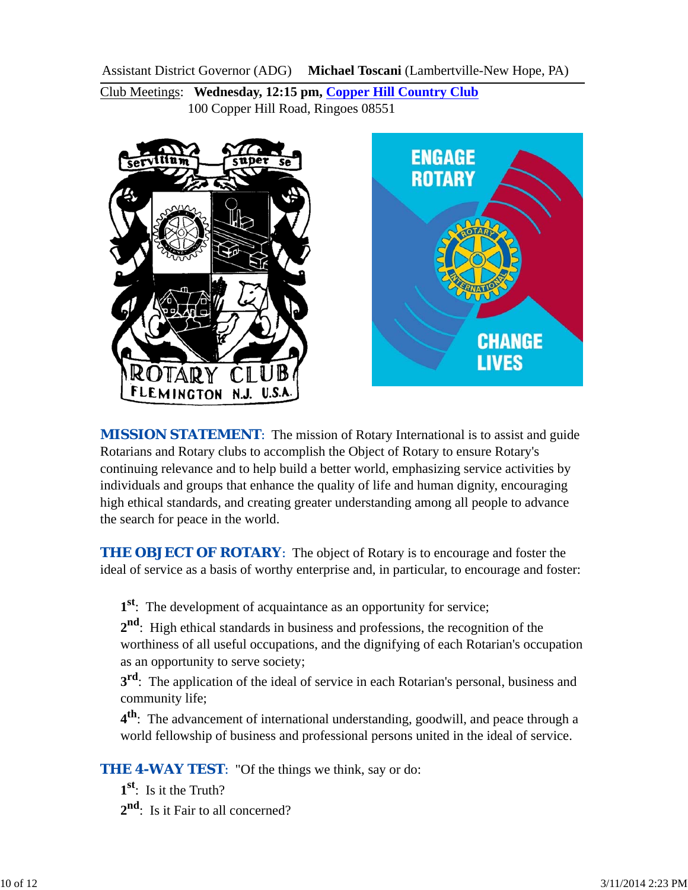Assistant District Governor (ADG) **Michael Toscani** (Lambertville-New Hope, PA)

Club Meetings: **Wednesday, 12:15 pm, Copper Hill Country Club** 100 Copper Hill Road, Ringoes 08551



*MISSION STATEMENT*: The mission of Rotary International is to assist and guide Rotarians and Rotary clubs to accomplish the Object of Rotary to ensure Rotary's continuing relevance and to help build a better world, emphasizing service activities by individuals and groups that enhance the quality of life and human dignity, encouraging high ethical standards, and creating greater understanding among all people to advance the search for peace in the world.

**THE OBJECT OF ROTARY:** The object of Rotary is to encourage and foster the ideal of service as a basis of worthy enterprise and, in particular, to encourage and foster:

**1st**: The development of acquaintance as an opportunity for service;

**2nd**: High ethical standards in business and professions, the recognition of the worthiness of all useful occupations, and the dignifying of each Rotarian's occupation as an opportunity to serve society;

**3<sup>rd</sup>**: The application of the ideal of service in each Rotarian's personal, business and community life;

**4th**: The advancement of international understanding, goodwill, and peace through a world fellowship of business and professional persons united in the ideal of service.

**THE 4-WAY TEST:** "Of the things we think, say or do:

**1st**: Is it the Truth?

2<sup>nd</sup>: Is it Fair to all concerned?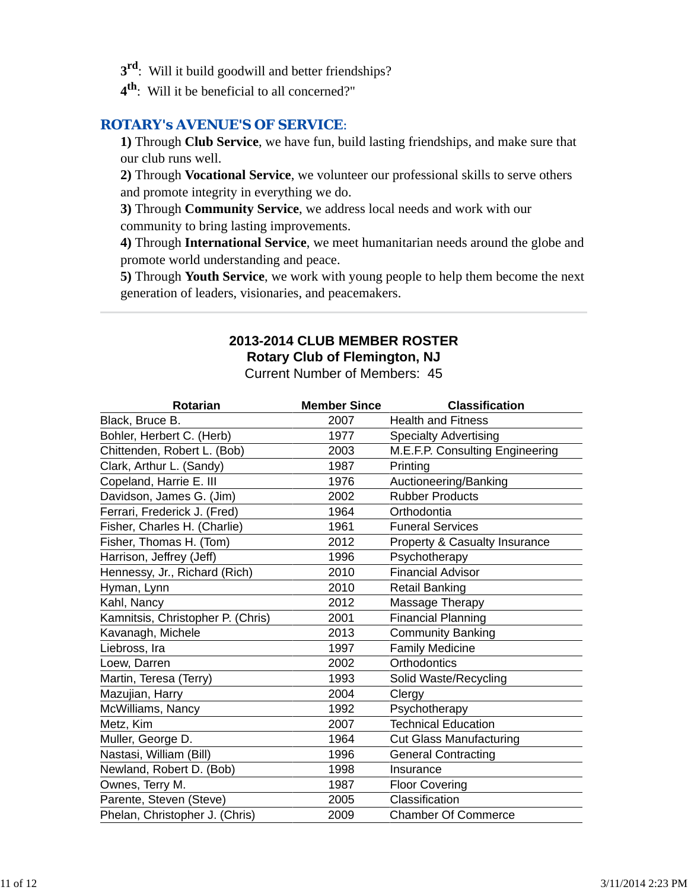- **3rd**: Will it build goodwill and better friendships?
- **4th**: Will it be beneficial to all concerned?"

### *ROTARY's AVENUE'S OF SERVICE*:

**1)** Through **Club Service**, we have fun, build lasting friendships, and make sure that our club runs well.

**2)** Through **Vocational Service**, we volunteer our professional skills to serve others and promote integrity in everything we do.

**3)** Through **Community Service**, we address local needs and work with our community to bring lasting improvements.

**4)** Through **International Service**, we meet humanitarian needs around the globe and promote world understanding and peace.

**5)** Through **Youth Service**, we work with young people to help them become the next generation of leaders, visionaries, and peacemakers.

# **2013-2014 CLUB MEMBER ROSTER Rotary Club of Flemington, NJ**

Current Number of Members: 45

| <b>Rotarian</b>                   | <b>Member Since</b> | <b>Classification</b>                    |
|-----------------------------------|---------------------|------------------------------------------|
| Black, Bruce B.                   | 2007                | <b>Health and Fitness</b>                |
| Bohler, Herbert C. (Herb)         | 1977                | <b>Specialty Advertising</b>             |
| Chittenden, Robert L. (Bob)       | 2003                | M.E.F.P. Consulting Engineering          |
| Clark, Arthur L. (Sandy)          | 1987                | Printing                                 |
| Copeland, Harrie E. III           | 1976                | Auctioneering/Banking                    |
| Davidson, James G. (Jim)          | 2002                | <b>Rubber Products</b>                   |
| Ferrari, Frederick J. (Fred)      | 1964                | Orthodontia                              |
| Fisher, Charles H. (Charlie)      | 1961                | <b>Funeral Services</b>                  |
| Fisher, Thomas H. (Tom)           | 2012                | <b>Property &amp; Casualty Insurance</b> |
| Harrison, Jeffrey (Jeff)          | 1996                | Psychotherapy                            |
| Hennessy, Jr., Richard (Rich)     | 2010                | <b>Financial Advisor</b>                 |
| Hyman, Lynn                       | 2010                | <b>Retail Banking</b>                    |
| Kahl, Nancy                       | 2012                | Massage Therapy                          |
| Kamnitsis, Christopher P. (Chris) | 2001                | <b>Financial Planning</b>                |
| Kavanagh, Michele                 | 2013                | <b>Community Banking</b>                 |
| Liebross, Ira                     | 1997                | <b>Family Medicine</b>                   |
| Loew, Darren                      | 2002                | Orthodontics                             |
| Martin, Teresa (Terry)            | 1993                | Solid Waste/Recycling                    |
| Mazujian, Harry                   | 2004                | Clergy                                   |
| McWilliams, Nancy                 | 1992                | Psychotherapy                            |
| Metz, Kim                         | 2007                | <b>Technical Education</b>               |
| Muller, George D.                 | 1964                | <b>Cut Glass Manufacturing</b>           |
| Nastasi, William (Bill)           | 1996                | <b>General Contracting</b>               |
| Newland, Robert D. (Bob)          | 1998                | Insurance                                |
| Ownes, Terry M.                   | 1987                | <b>Floor Covering</b>                    |
| Parente, Steven (Steve)           | 2005                | Classification                           |
| Phelan, Christopher J. (Chris)    | 2009                | <b>Chamber Of Commerce</b>               |